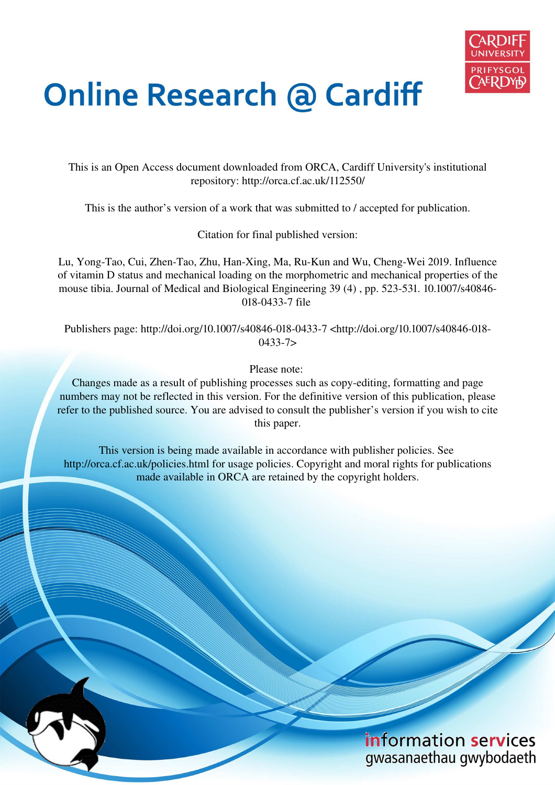

# **Online Research @ Cardiff**

This is an Open Access document downloaded from ORCA, Cardiff University's institutional repository: http://orca.cf.ac.uk/112550/

This is the author's version of a work that was submitted to / accepted for publication.

Citation for final published version:

Lu, Yong-Tao, Cui, Zhen-Tao, Zhu, Han-Xing, Ma, Ru-Kun and Wu, Cheng-Wei 2019. Influence of vitamin D status and mechanical loading on the morphometric and mechanical properties of the mouse tibia. Journal of Medical and Biological Engineering 39 (4) , pp. 523-531. 10.1007/s40846- 018-0433-7 file

Publishers page: http://doi.org/10.1007/s40846-018-0433-7 <http://doi.org/10.1007/s40846-018- 0433-7>

Please note:

Changes made as a result of publishing processes such as copy-editing, formatting and page numbers may not be reflected in this version. For the definitive version of this publication, please refer to the published source. You are advised to consult the publisher's version if you wish to cite this paper.

This version is being made available in accordance with publisher policies. See http://orca.cf.ac.uk/policies.html for usage policies. Copyright and moral rights for publications made available in ORCA are retained by the copyright holders.

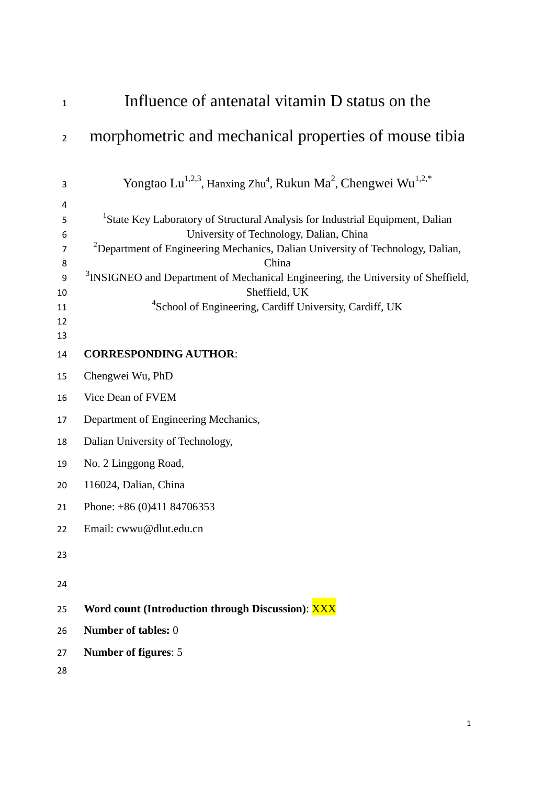| $\mathbf{1}$                                        | Influence of antenatal vitamin D status on the                                                                                                                                                                                                                                                                                                                                                                                      |
|-----------------------------------------------------|-------------------------------------------------------------------------------------------------------------------------------------------------------------------------------------------------------------------------------------------------------------------------------------------------------------------------------------------------------------------------------------------------------------------------------------|
| $\overline{2}$                                      | morphometric and mechanical properties of mouse tibia                                                                                                                                                                                                                                                                                                                                                                               |
| 3                                                   | Yongtao Lu <sup>1,2,3</sup> , Hanxing Zhu <sup>4</sup> , Rukun Ma <sup>2</sup> , Chengwei Wu <sup>1,2,*</sup>                                                                                                                                                                                                                                                                                                                       |
| 4<br>5<br>6<br>$\overline{7}$<br>8<br>9<br>10<br>11 | <sup>1</sup> State Key Laboratory of Structural Analysis for Industrial Equipment, Dalian<br>University of Technology, Dalian, China<br><sup>2</sup> Department of Engineering Mechanics, Dalian University of Technology, Dalian,<br>China<br><sup>3</sup> INSIGNEO and Department of Mechanical Engineering, the University of Sheffield,<br>Sheffield, UK<br><sup>4</sup> School of Engineering, Cardiff University, Cardiff, UK |
| 12<br>13                                            |                                                                                                                                                                                                                                                                                                                                                                                                                                     |
| 14                                                  | <b>CORRESPONDING AUTHOR:</b>                                                                                                                                                                                                                                                                                                                                                                                                        |
| 15                                                  | Chengwei Wu, PhD                                                                                                                                                                                                                                                                                                                                                                                                                    |
| 16                                                  | Vice Dean of FVEM                                                                                                                                                                                                                                                                                                                                                                                                                   |
| 17                                                  | Department of Engineering Mechanics,                                                                                                                                                                                                                                                                                                                                                                                                |
| 18                                                  | Dalian University of Technology,                                                                                                                                                                                                                                                                                                                                                                                                    |
| 19                                                  | No. 2 Linggong Road,                                                                                                                                                                                                                                                                                                                                                                                                                |
| 20                                                  | 116024, Dalian, China                                                                                                                                                                                                                                                                                                                                                                                                               |
| 21                                                  | Phone: $+86(0)41184706353$                                                                                                                                                                                                                                                                                                                                                                                                          |
| 22                                                  | Email: cwwu@dlut.edu.cn                                                                                                                                                                                                                                                                                                                                                                                                             |
| 23                                                  |                                                                                                                                                                                                                                                                                                                                                                                                                                     |
| 24                                                  |                                                                                                                                                                                                                                                                                                                                                                                                                                     |
| 25                                                  | Word count (Introduction through Discussion): XXX                                                                                                                                                                                                                                                                                                                                                                                   |
| 26                                                  | Number of tables: 0                                                                                                                                                                                                                                                                                                                                                                                                                 |
| 27                                                  | Number of figures: 5                                                                                                                                                                                                                                                                                                                                                                                                                |
| 28                                                  |                                                                                                                                                                                                                                                                                                                                                                                                                                     |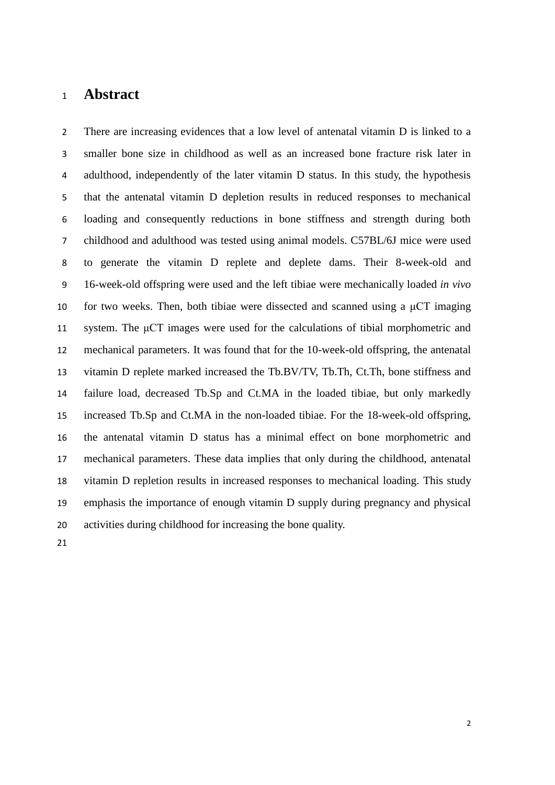## **Abstract**

There are increasing evidences that a low level of antenatal vitamin D is linked to a smaller bone size in childhood as well as an increased bone fracture risk later in adulthood, independently of the later vitamin D status. In this study, the hypothesis that the antenatal vitamin D depletion results in reduced responses to mechanical loading and consequently reductions in bone stiffness and strength during both childhood and adulthood was tested using animal models. C57BL/6J mice were used to generate the vitamin D replete and deplete dams. Their 8-week-old and 16-week-old offspring were used and the left tibiae were mechanically loaded *in vivo* 10 for two weeks. Then, both tibiae were dissected and scanned using a  $\mu$ CT imaging system. The μCT images were used for the calculations of tibial morphometric and mechanical parameters. It was found that for the 10-week-old offspring, the antenatal vitamin D replete marked increased the Tb.BV/TV, Tb.Th, Ct.Th, bone stiffness and failure load, decreased Tb.Sp and Ct.MA in the loaded tibiae, but only markedly increased Tb.Sp and Ct.MA in the non-loaded tibiae. For the 18-week-old offspring, the antenatal vitamin D status has a minimal effect on bone morphometric and mechanical parameters. These data implies that only during the childhood, antenatal vitamin D repletion results in increased responses to mechanical loading. This study emphasis the importance of enough vitamin D supply during pregnancy and physical activities during childhood for increasing the bone quality.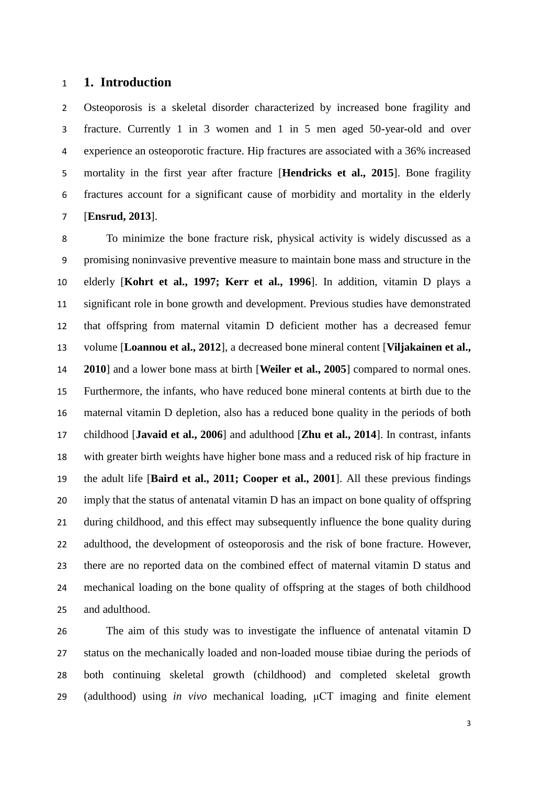#### **1. Introduction**

Osteoporosis is a skeletal disorder characterized by increased bone fragility and fracture. Currently 1 in 3 women and 1 in 5 men aged 50-year-old and over experience an osteoporotic fracture. Hip fractures are associated with a 36% increased mortality in the first year after fracture [**Hendricks et al., 2015**]. Bone fragility fractures account for a significant cause of morbidity and mortality in the elderly [**Ensrud, 2013**].

To minimize the bone fracture risk, physical activity is widely discussed as a promising noninvasive preventive measure to maintain bone mass and structure in the elderly [**Kohrt et al., 1997; Kerr et al., 1996**]. In addition, vitamin D plays a significant role in bone growth and development. Previous studies have demonstrated that offspring from maternal vitamin D deficient mother has a decreased femur volume [**Loannou et al., 2012**], a decreased bone mineral content [**Viljakainen et al., 2010**] and a lower bone mass at birth [**Weiler et al., 2005**] compared to normal ones. Furthermore, the infants, who have reduced bone mineral contents at birth due to the maternal vitamin D depletion, also has a reduced bone quality in the periods of both childhood [**Javaid et al., 2006**] and adulthood [**Zhu et al., 2014**]. In contrast, infants with greater birth weights have higher bone mass and a reduced risk of hip fracture in the adult life [**Baird et al., 2011; Cooper et al., 2001**]. All these previous findings imply that the status of antenatal vitamin D has an impact on bone quality of offspring during childhood, and this effect may subsequently influence the bone quality during adulthood, the development of osteoporosis and the risk of bone fracture. However, there are no reported data on the combined effect of maternal vitamin D status and mechanical loading on the bone quality of offspring at the stages of both childhood and adulthood.

 The aim of this study was to investigate the influence of antenatal vitamin D status on the mechanically loaded and non-loaded mouse tibiae during the periods of both continuing skeletal growth (childhood) and completed skeletal growth (adulthood) using *in vivo* mechanical loading, μCT imaging and finite element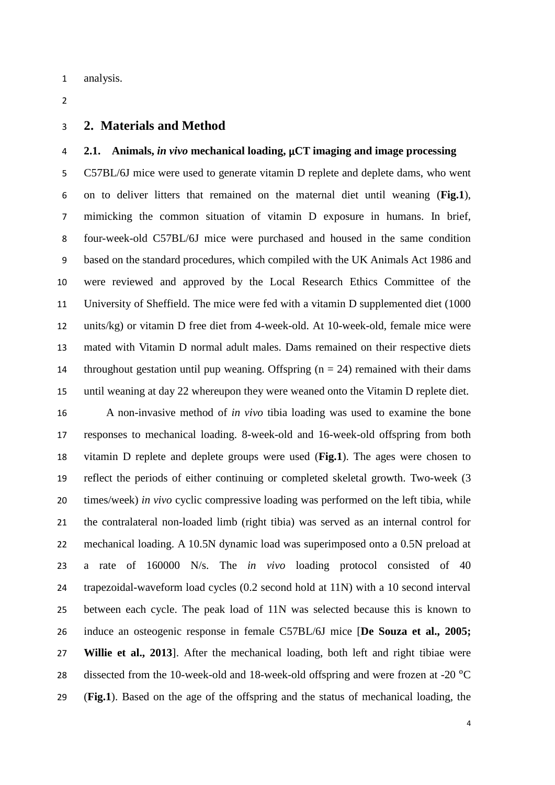- analysis.
- $\overline{2}$

#### **2. Materials and Method**

### **2.1. Animals,** *in vivo* **mechanical loading,** μ**CT imaging and image processing**

C57BL/6J mice were used to generate vitamin D replete and deplete dams, who went on to deliver litters that remained on the maternal diet until weaning (**Fig.1**), mimicking the common situation of vitamin D exposure in humans. In brief, four-week-old C57BL/6J mice were purchased and housed in the same condition based on the standard procedures, which compiled with the UK Animals Act 1986 and were reviewed and approved by the Local Research Ethics Committee of the University of Sheffield. The mice were fed with a vitamin D supplemented diet (1000 units/kg) or vitamin D free diet from 4-week-old. At 10-week-old, female mice were mated with Vitamin D normal adult males. Dams remained on their respective diets 14 throughout gestation until pup weaning. Offspring  $(n = 24)$  remained with their dams until weaning at day 22 whereupon they were weaned onto the Vitamin D replete diet.

 A non-invasive method of *in vivo* tibia loading was used to examine the bone responses to mechanical loading. 8-week-old and 16-week-old offspring from both vitamin D replete and deplete groups were used (**Fig.1**). The ages were chosen to reflect the periods of either continuing or completed skeletal growth. Two-week (3 times/week) *in vivo* cyclic compressive loading was performed on the left tibia, while the contralateral non-loaded limb (right tibia) was served as an internal control for mechanical loading. A 10.5N dynamic load was superimposed onto a 0.5N preload at a rate of 160000 N/s. The *in vivo* loading protocol consisted of 40 trapezoidal-waveform load cycles (0.2 second hold at 11N) with a 10 second interval between each cycle. The peak load of 11N was selected because this is known to induce an osteogenic response in female C57BL/6J mice [**De Souza et al., 2005; Willie et al., 2013**]. After the mechanical loading, both left and right tibiae were 28 dissected from the 10-week-old and 18-week-old offspring and were frozen at -20 °C (**Fig.1**). Based on the age of the offspring and the status of mechanical loading, the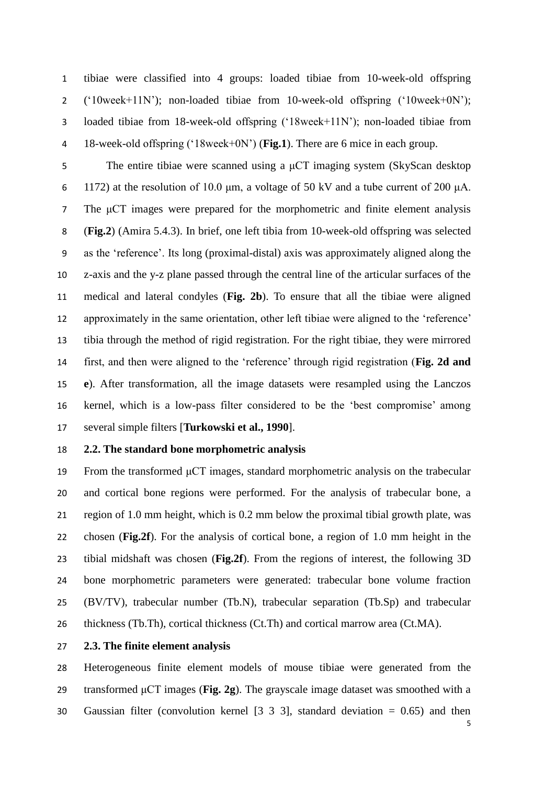tibiae were classified into 4 groups: loaded tibiae from 10-week-old offspring ('10week+11N'); non-loaded tibiae from 10-week-old offspring ('10week+0N'); loaded tibiae from 18-week-old offspring ('18week+11N'); non-loaded tibiae from 18-week-old offspring ('18week+0N') (**Fig.1**). There are 6 mice in each group.

The entire tibiae were scanned using a μCT imaging system (SkyScan desktop 1172) at the resolution of 10.0 μm, a voltage of 50 kV and a tube current of 200 μA. The μCT images were prepared for the morphometric and finite element analysis (**Fig.2**) (Amira 5.4.3). In brief, one left tibia from 10-week-old offspring was selected as the 'reference'. Its long (proximal-distal) axis was approximately aligned along the z-axis and the y-z plane passed through the central line of the articular surfaces of the medical and lateral condyles (**Fig. 2b**). To ensure that all the tibiae were aligned approximately in the same orientation, other left tibiae were aligned to the 'reference' tibia through the method of rigid registration. For the right tibiae, they were mirrored first, and then were aligned to the 'reference' through rigid registration (**Fig. 2d and e**). After transformation, all the image datasets were resampled using the Lanczos kernel, which is a low-pass filter considered to be the 'best compromise' among several simple filters [**Turkowski et al., 1990**].

#### **2.2. The standard bone morphometric analysis**

 From the transformed μCT images, standard morphometric analysis on the trabecular and cortical bone regions were performed. For the analysis of trabecular bone, a region of 1.0 mm height, which is 0.2 mm below the proximal tibial growth plate, was chosen (**Fig.2f**). For the analysis of cortical bone, a region of 1.0 mm height in the tibial midshaft was chosen (**Fig.2f**). From the regions of interest, the following 3D bone morphometric parameters were generated: trabecular bone volume fraction (BV/TV), trabecular number (Tb.N), trabecular separation (Tb.Sp) and trabecular thickness (Tb.Th), cortical thickness (Ct.Th) and cortical marrow area (Ct.MA).

#### **2.3. The finite element analysis**

 Heterogeneous finite element models of mouse tibiae were generated from the transformed μCT images (**Fig. 2g**). The grayscale image dataset was smoothed with a Gaussian filter (convolution kernel [3 3 3], standard deviation = 0.65) and then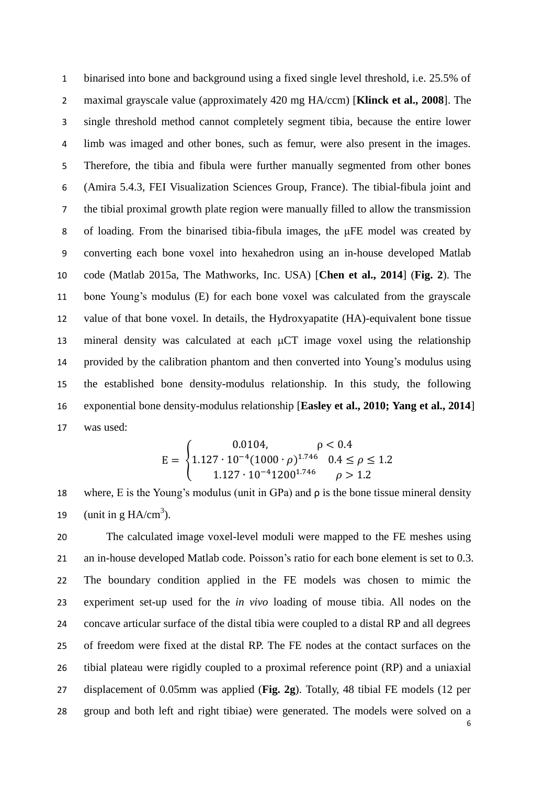binarised into bone and background using a fixed single level threshold, i.e. 25.5% of maximal grayscale value (approximately 420 mg HA/ccm) [**Klinck et al., 2008**]. The single threshold method cannot completely segment tibia, because the entire lower limb was imaged and other bones, such as femur, were also present in the images. Therefore, the tibia and fibula were further manually segmented from other bones (Amira 5.4.3, FEI Visualization Sciences Group, France). The tibial-fibula joint and the tibial proximal growth plate region were manually filled to allow the transmission of loading. From the binarised tibia-fibula images, the μFE model was created by converting each bone voxel into hexahedron using an in-house developed Matlab code (Matlab 2015a, The Mathworks, Inc. USA) [**Chen et al., 2014**] (**Fig. 2**). The bone Young's modulus (E) for each bone voxel was calculated from the grayscale value of that bone voxel. In details, the Hydroxyapatite (HA)-equivalent bone tissue 13 mineral density was calculated at each  $\mu$ CT image voxel using the relationship provided by the calibration phantom and then converted into Young's modulus using the established bone density-modulus relationship. In this study, the following exponential bone density-modulus relationship [**Easley et al., 2010; Yang et al., 2014**] was used:

$$
E = \begin{cases} 0.0104, & \rho < 0.4\\ 1.127 \cdot 10^{-4} (1000 \cdot \rho)^{1.746} & 0.4 \le \rho \le 1.2\\ 1.127 \cdot 10^{-4} 1200^{1.746} & \rho > 1.2 \end{cases}
$$

18 where, E is the Young's modulus (unit in GPa) and  $\rho$  is the bone tissue mineral density 19 (unit in g  $HA/cm^3$ ).

 The calculated image voxel-level moduli were mapped to the FE meshes using an in-house developed Matlab code. Poisson's ratio for each bone element is set to 0.3. The boundary condition applied in the FE models was chosen to mimic the experiment set-up used for the *in vivo* loading of mouse tibia. All nodes on the concave articular surface of the distal tibia were coupled to a distal RP and all degrees of freedom were fixed at the distal RP. The FE nodes at the contact surfaces on the tibial plateau were rigidly coupled to a proximal reference point (RP) and a uniaxial displacement of 0.05mm was applied (**Fig. 2g**). Totally, 48 tibial FE models (12 per group and both left and right tibiae) were generated. The models were solved on a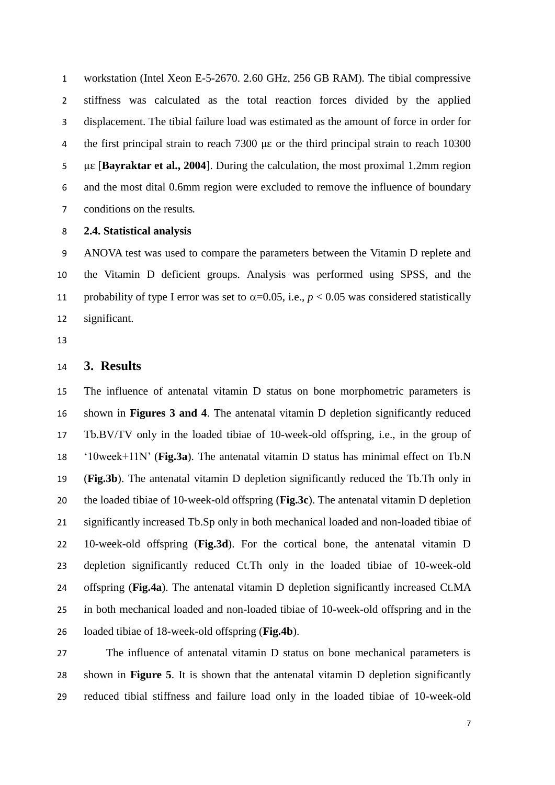workstation (Intel Xeon E-5-2670. 2.60 GHz, 256 GB RAM). The tibial compressive stiffness was calculated as the total reaction forces divided by the applied displacement. The tibial failure load was estimated as the amount of force in order for the first principal strain to reach 7300 με or the third principal strain to reach 10300 με [**Bayraktar et al., 2004**]. During the calculation, the most proximal 1.2mm region and the most dital 0.6mm region were excluded to remove the influence of boundary conditions on the results.

#### **2.4. Statistical analysis**

ANOVA test was used to compare the parameters between the Vitamin D replete and the Vitamin D deficient groups. Analysis was performed using SPSS, and the 11 probability of type I error was set to  $\alpha$ =0.05, i.e.,  $p$  < 0.05 was considered statistically significant.

## **3. Results**

 The influence of antenatal vitamin D status on bone morphometric parameters is shown in **Figures 3 and 4**. The antenatal vitamin D depletion significantly reduced Tb.BV/TV only in the loaded tibiae of 10-week-old offspring, i.e., in the group of '10week+11N' (**Fig.3a**). The antenatal vitamin D status has minimal effect on Tb.N (**Fig.3b**). The antenatal vitamin D depletion significantly reduced the Tb.Th only in the loaded tibiae of 10-week-old offspring (**Fig.3c**). The antenatal vitamin D depletion significantly increased Tb.Sp only in both mechanical loaded and non-loaded tibiae of 10-week-old offspring (**Fig.3d**). For the cortical bone, the antenatal vitamin D depletion significantly reduced Ct.Th only in the loaded tibiae of 10-week-old offspring (**Fig.4a**). The antenatal vitamin D depletion significantly increased Ct.MA in both mechanical loaded and non-loaded tibiae of 10-week-old offspring and in the loaded tibiae of 18-week-old offspring (**Fig.4b**).

 The influence of antenatal vitamin D status on bone mechanical parameters is shown in **Figure 5**. It is shown that the antenatal vitamin D depletion significantly reduced tibial stiffness and failure load only in the loaded tibiae of 10-week-old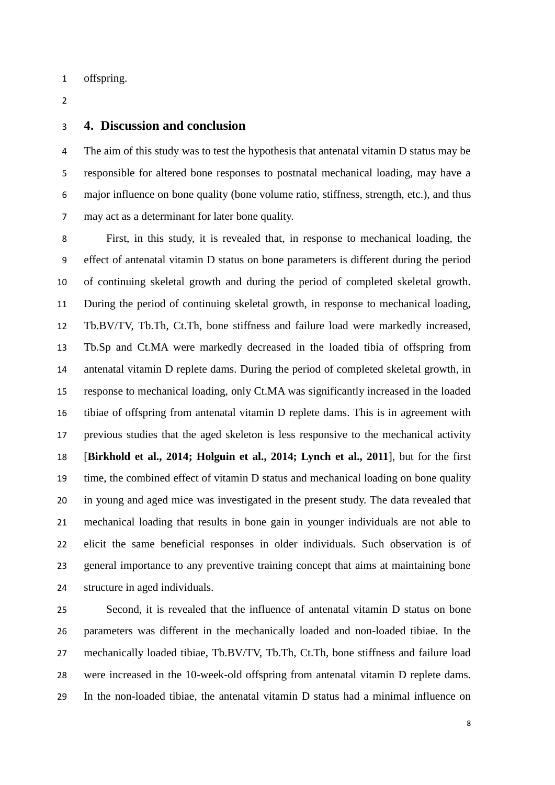- offspring.
- $\overline{2}$

#### **4. Discussion and conclusion**

The aim of this study was to test the hypothesis that antenatal vitamin D status may be responsible for altered bone responses to postnatal mechanical loading, may have a major influence on bone quality (bone volume ratio, stiffness, strength, etc.), and thus may act as a determinant for later bone quality.

First, in this study, it is revealed that, in response to mechanical loading, the effect of antenatal vitamin D status on bone parameters is different during the period of continuing skeletal growth and during the period of completed skeletal growth. During the period of continuing skeletal growth, in response to mechanical loading, Tb.BV/TV, Tb.Th, Ct.Th, bone stiffness and failure load were markedly increased, Tb.Sp and Ct.MA were markedly decreased in the loaded tibia of offspring from antenatal vitamin D replete dams. During the period of completed skeletal growth, in response to mechanical loading, only Ct.MA was significantly increased in the loaded tibiae of offspring from antenatal vitamin D replete dams. This is in agreement with previous studies that the aged skeleton is less responsive to the mechanical activity [**Birkhold et al., 2014; Holguin et al., 2014; Lynch et al., 2011**], but for the first time, the combined effect of vitamin D status and mechanical loading on bone quality in young and aged mice was investigated in the present study. The data revealed that mechanical loading that results in bone gain in younger individuals are not able to elicit the same beneficial responses in older individuals. Such observation is of general importance to any preventive training concept that aims at maintaining bone structure in aged individuals.

 Second, it is revealed that the influence of antenatal vitamin D status on bone parameters was different in the mechanically loaded and non-loaded tibiae. In the mechanically loaded tibiae, Tb.BV/TV, Tb.Th, Ct.Th, bone stiffness and failure load were increased in the 10-week-old offspring from antenatal vitamin D replete dams. In the non-loaded tibiae, the antenatal vitamin D status had a minimal influence on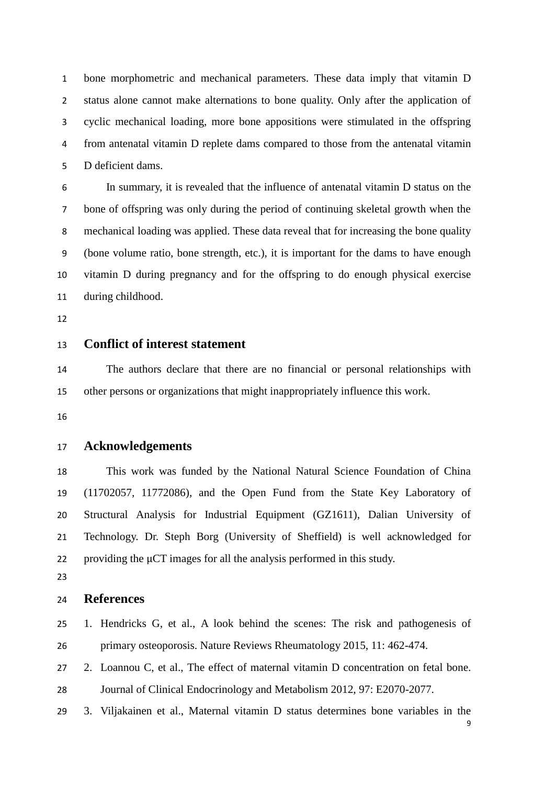bone morphometric and mechanical parameters. These data imply that vitamin D status alone cannot make alternations to bone quality. Only after the application of cyclic mechanical loading, more bone appositions were stimulated in the offspring from antenatal vitamin D replete dams compared to those from the antenatal vitamin D deficient dams.

In summary, it is revealed that the influence of antenatal vitamin D status on the bone of offspring was only during the period of continuing skeletal growth when the mechanical loading was applied. These data reveal that for increasing the bone quality (bone volume ratio, bone strength, etc.), it is important for the dams to have enough vitamin D during pregnancy and for the offspring to do enough physical exercise during childhood.

# **Conflict of interest statement**

 The authors declare that there are no financial or personal relationships with other persons or organizations that might inappropriately influence this work.

#### **Acknowledgements**

 This work was funded by the National Natural Science Foundation of China (11702057, 11772086), and the Open Fund from the State Key Laboratory of Structural Analysis for Industrial Equipment (GZ1611), Dalian University of Technology. Dr. Steph Borg (University of Sheffield) is well acknowledged for providing the μCT images for all the analysis performed in this study.

## **References**

- 1. Hendricks G, et al., A look behind the scenes: The risk and pathogenesis of primary osteoporosis. Nature Reviews Rheumatology 2015, 11: 462-474.
- 2. Loannou C, et al., The effect of maternal vitamin D concentration on fetal bone. Journal of Clinical Endocrinology and Metabolism 2012, 97: E2070-2077.
- 
- 3. Viljakainen et al., Maternal vitamin D status determines bone variables in the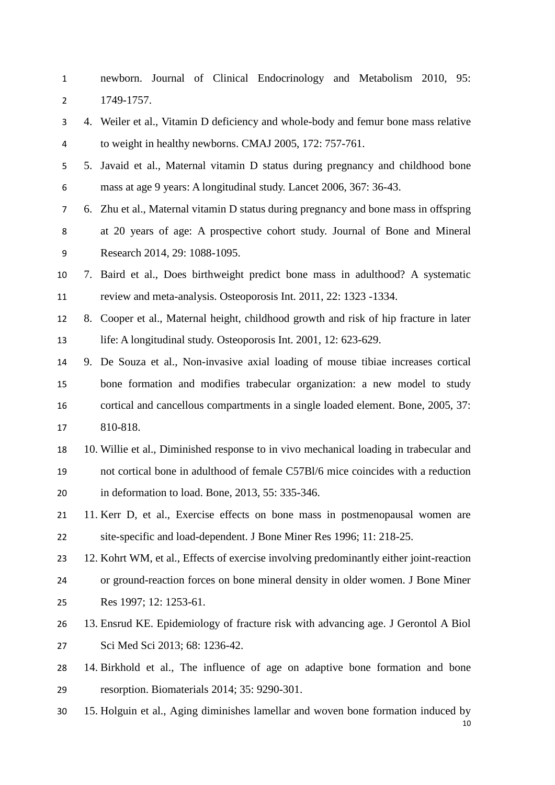newborn. Journal of Clinical Endocrinology and Metabolism 2010, 95: 1749-1757.

- 4. Weiler et al., Vitamin D deficiency and whole-body and femur bone mass relative to weight in healthy newborns. CMAJ 2005, 172: 757-761.
- 5. Javaid et al., Maternal vitamin D status during pregnancy and childhood bone mass at age 9 years: A longitudinal study. Lancet 2006, 367: 36-43.
- 6. Zhu et al., Maternal vitamin D status during pregnancy and bone mass in offspring at 20 years of age: A prospective cohort study. Journal of Bone and Mineral
- Research 2014, 29: 1088-1095.
- 7. Baird et al., Does birthweight predict bone mass in adulthood? A systematic review and meta-analysis. Osteoporosis Int. 2011, 22: 1323 -1334.
- 8. Cooper et al., Maternal height, childhood growth and risk of hip fracture in later life: A longitudinal study. Osteoporosis Int. 2001, 12: 623-629.
- 9. De Souza et al., Non-invasive axial loading of mouse tibiae increases cortical bone formation and modifies trabecular organization: a new model to study cortical and cancellous compartments in a single loaded element. Bone, 2005, 37: 810-818.
- 10. Willie et al., Diminished response to in vivo mechanical loading in trabecular and not cortical bone in adulthood of female C57Bl/6 mice coincides with a reduction in deformation to load. Bone, 2013, 55: 335-346.
- 11. Kerr D, et al., Exercise effects on bone mass in postmenopausal women are site-specific and load-dependent. J Bone Miner Res 1996; 11: 218-25.
- 12. Kohrt WM, et al., Effects of exercise involving predominantly either joint-reaction or ground-reaction forces on bone mineral density in older women. J Bone Miner Res 1997; 12: 1253-61.
- 13. Ensrud KE. Epidemiology of fracture risk with advancing age. J Gerontol A Biol Sci Med Sci 2013; 68: 1236-42.
- 14. Birkhold et al., The influence of age on adaptive bone formation and bone resorption. Biomaterials 2014; 35: 9290-301.
- $1<sub>0</sub>$ 15. Holguin et al., Aging diminishes lamellar and woven bone formation induced by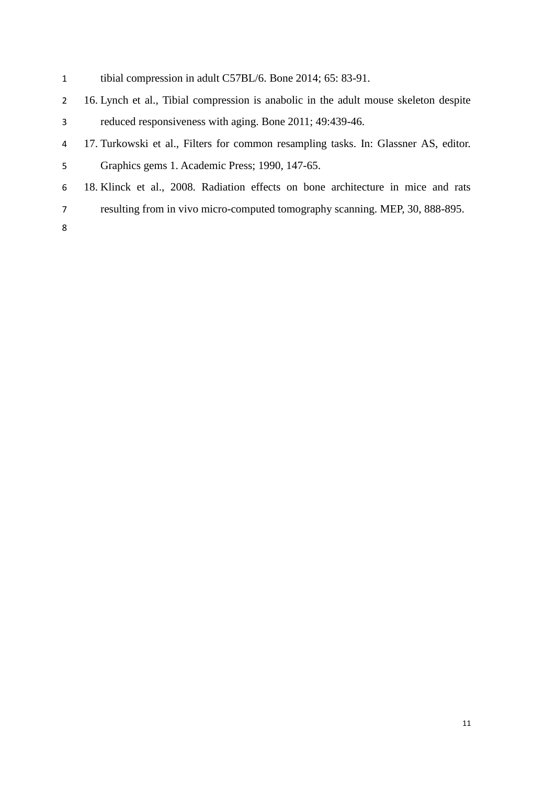- tibial compression in adult C57BL/6. Bone 2014; 65: 83-91.
- 16. Lynch et al., Tibial compression is anabolic in the adult mouse skeleton despite reduced responsiveness with aging. Bone 2011; 49:439-46.
- 17. Turkowski et al., Filters for common resampling tasks. In: Glassner AS, editor. Graphics gems 1. Academic Press; 1990, 147-65.
- 18. Klinck et al., 2008. Radiation effects on bone architecture in mice and rats
- resulting from in vivo micro-computed tomography scanning. MEP, 30, 888-895.
-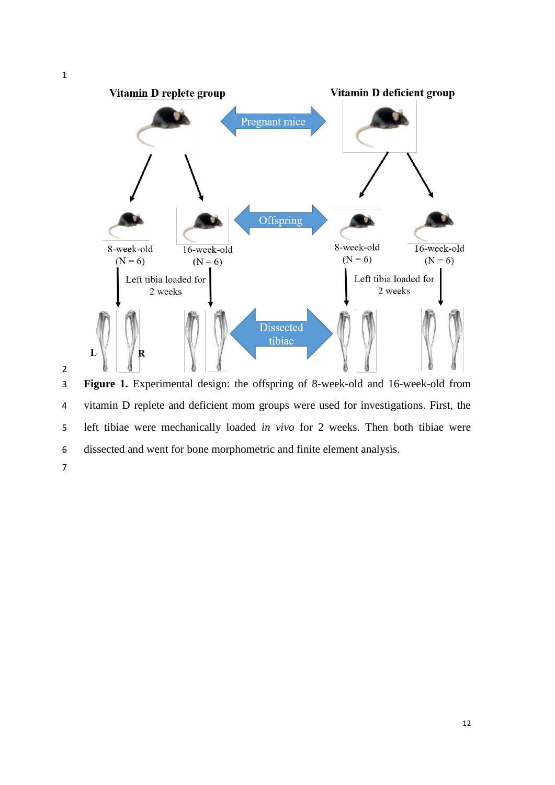

**Figure 1.** Experimental design: the offspring of 8-week-old and 16-week-old from vitamin D replete and deficient mom groups were used for investigations. First, the left tibiae were mechanically loaded *in vivo* for 2 weeks. Then both tibiae were dissected and went for bone morphometric and finite element analysis.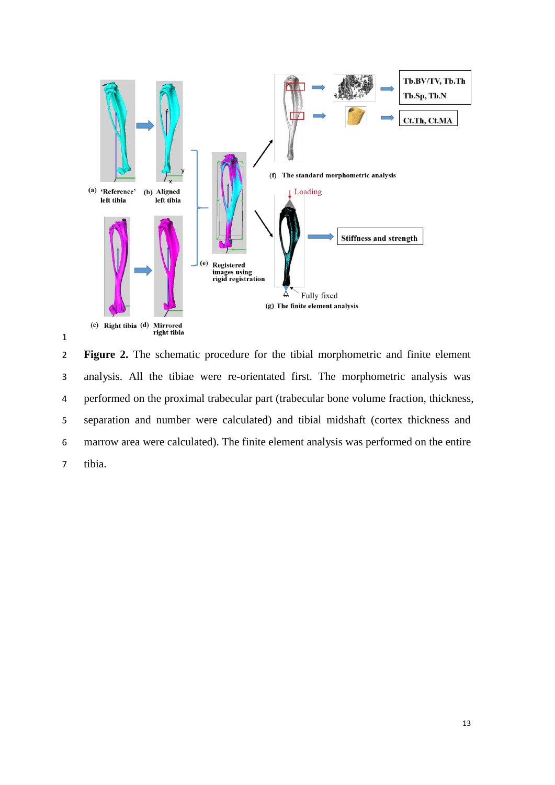



**Figure 2.** The schematic procedure for the tibial morphometric and finite element analysis. All the tibiae were re-orientated first. The morphometric analysis was performed on the proximal trabecular part (trabecular bone volume fraction, thickness, separation and number were calculated) and tibial midshaft (cortex thickness and marrow area were calculated). The finite element analysis was performed on the entire tibia.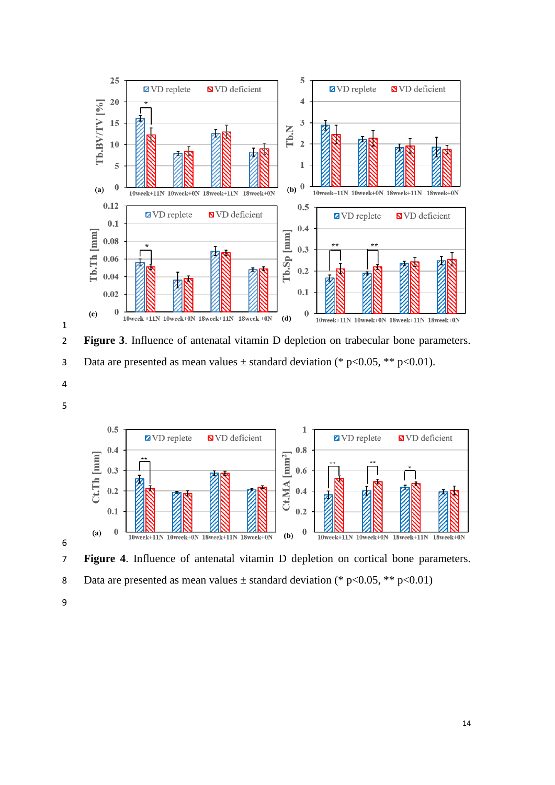